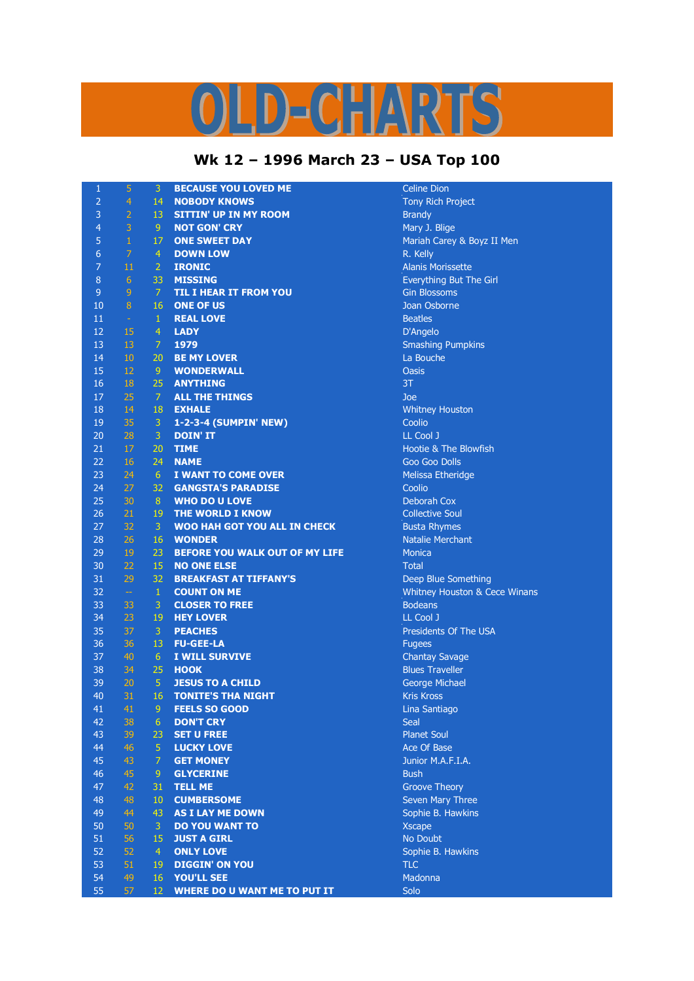## $\left( \frac{1}{2} \right)$   $\left[ \frac{1}{2} \right]$   $\left[ \frac{1}{2} \right]$  $\mathbf{D}$

## **Wk 12 – 1996 March 23 – USA Top 100**

| $\mathbf{1}$    | 5              | 3              | <b>BECAUSE YOU LOVED ME</b>                      | Celine Di                   |
|-----------------|----------------|----------------|--------------------------------------------------|-----------------------------|
| $\overline{2}$  | $\overline{4}$ | 14             | <b>NOBODY KNOWS</b>                              | <b>Tony Ric</b>             |
| 3               | $\overline{2}$ | 13             | <b>SITTIN' UP IN MY ROOM</b>                     | <b>Brandy</b>               |
| $\overline{4}$  | 3              | 9              | <b>NOT GON' CRY</b>                              | Mary J. E                   |
| 5               | $\mathbf 1$    | 17             | <b>ONE SWEET DAY</b>                             | Mariah C                    |
| $6\phantom{1}6$ | $\overline{7}$ | $\overline{4}$ | <b>DOWN LOW</b>                                  | R. Kelly                    |
| $\overline{7}$  | 11             | $\overline{2}$ | <b>IRONIC</b>                                    | <b>Alanis Mo</b>            |
| 8               | 6              | 33             | <b>MISSING</b>                                   | Everythir                   |
| $\overline{9}$  | 9              | $\mathcal{I}$  | TIL I HEAR IT FROM YOU                           | <b>Gin Bloss</b>            |
| 10              | $\bf 8$        | 16             | <b>ONE OF US</b>                                 | Joan Osb                    |
| 11              | $\omega$       | $\mathbf{1}$   | <b>REAL LOVE</b>                                 | <b>Beatles</b>              |
| 12              | 15             | $\overline{4}$ | <b>LADY</b>                                      | D'Angelo                    |
| 13              | 13             | $\overline{7}$ | 1979                                             | Smashin                     |
| 14              | 10             | 20             | <b>BE MY LOVER</b>                               | La Bouch                    |
| 15              | 12             | 9              | <b>WONDERWALL</b>                                | <b>Oasis</b>                |
| 16              | 18             | 25             | <b>ANYTHING</b>                                  | 3T                          |
| 17              | 25             | $\mathcal{I}$  | <b>ALL THE THINGS</b>                            | Joe                         |
| 18              | 14             | 18             | <b>EXHALE</b>                                    | Whitney                     |
| 19              | 35             | 3              | 1-2-3-4 (SUMPIN' NEW)                            | Coolio                      |
| 20              | 28             | 3              | <b>DOIN' IT</b>                                  | LL Cool J                   |
| 21              | 17             | 20             | <b>TIME</b>                                      | Hootie &                    |
| 22              |                | 24             | <b>NAME</b>                                      |                             |
| 23              | 16             | 6 <sup>1</sup> |                                                  | Goo Goo<br><b>Melissa E</b> |
|                 | 24             |                | I WANT TO COME OVER<br><b>GANGSTA'S PARADISE</b> |                             |
| 24              | 27             | 32             |                                                  | Coolio                      |
| 25              | 30             | 8              | <b>WHO DO U LOVE</b>                             | Deborah                     |
| 26              | 21             | 19             | <b>THE WORLD I KNOW</b>                          | Collective                  |
| 27              | 32             | 3              | <b>WOO HAH GOT YOU ALL IN CHECK</b>              | <b>Busta Rh</b>             |
| 28              | 26             | 16             | <b>WONDER</b>                                    | Natalie M                   |
| 29              | 19             | 23             | <b>BEFORE YOU WALK OUT OF MY LIFE</b>            | <b>Monica</b>               |
| 30              | 22             | 15             | <b>NO ONE ELSE</b>                               | <b>Total</b>                |
| 31              | 29             | 32             | <b>BREAKFAST AT TIFFANY'S</b>                    | Deep Blu                    |
| 32              | $\Box$         | $1\,$          | <b>COUNT ON ME</b>                               | Whitney                     |
| 33              | 33             | 3              | <b>CLOSER TO FREE</b>                            | <b>Bodeans</b>              |
| 34              | 23             | 19             | <b>HEY LOVER</b>                                 | LL Cool J                   |
| 35              | 37             | 3              | <b>PEACHES</b>                                   | President                   |
| 36              | 36             | 13             | <b>FU-GEE-LA</b>                                 | <b>Fugees</b>               |
| 37              | 40             | $6\phantom{1}$ | I WILL SURVIVE                                   | Chantay                     |
| 38              | 34             | 25             | <b>HOOK</b>                                      | <b>Blues Tra</b>            |
| 39              | 20             | $\overline{5}$ | <b>JESUS TO A CHILD</b>                          | George M                    |
| 40              | 31             | 16             | <b>TONITE'S THA NIGHT</b>                        | <b>Kris Kros</b>            |
| 41              | 41             | 9              | <b>FEELS SO GOOD</b>                             | Lina Sant                   |
| 42              | 38             | 6              | <b>DON'T CRY</b>                                 | <b>Seal</b>                 |
| 43              | 39             | 23             | <b>SET U FREE</b>                                | <b>Planet So</b>            |
| 44              | 46             | 5              | <b>LUCKY LOVE</b>                                | Ace Of B                    |
| 45              | 43             | $\overline{7}$ | <b>GET MONEY</b>                                 | Junior M.                   |
| 46              | 45             | 9              | <b>GLYCERINE</b>                                 | <b>Bush</b>                 |
| 47              | 42             | 31             | <b>TELL ME</b>                                   | <b>Groove T</b>             |
| 48              | 48             | 10             | <b>CUMBERSOME</b>                                | Seven Ma                    |
| 49              | 44             | 43             | <b>AS I LAY ME DOWN</b>                          | Sophie B                    |
| 50              | 50             | 3              | <b>DO YOU WANT TO</b>                            | <b>Xscape</b>               |
| 51              | 56             | 15             | <b>JUST A GIRL</b>                               | No Doub                     |
| 52              | 52             | $\overline{4}$ | <b>ONLY LOVE</b>                                 | Sophie B                    |
| 53              | 51             | 19             | <b>DIGGIN' ON YOU</b>                            | <b>TLC</b>                  |
| 54              | 49             | 16             | <b>YOU'LL SEE</b>                                | Madonna                     |
| 55              | 57             | 12             | <b>WHERE DO U WANT ME TO PUT IT</b>              | Solo                        |

**Celine Dion Tony Rich Project** Mary J. Blige Mariah Carey & Boyz II Men<br>R. Kelly 7 11 2 **IRONIC** Alanis Morissette **Everything But The Girl Gin Blossoms** Joan Osborne **D'Angelo Smashing Pumpkins** La Bouche **Whitney Houston** Hootie & The Blowfish Goo Goo Dolls <u>.</u><br>23 Aelissa Etheridge **Deborah Cox Collective Soul Busta Rhymes Natalie Merchant** Deep Blue Something **Whitney Houston & Cece Winans** LL Cool J Presidents Of The USA **Chantay Savage Blues Traveller George Michael Kris Kross Lina Santiago Planet Soul** Ace Of Base 45 43 7 **GET MONEY** Junior M.A.F.I.A. **Groove Theory Seven Mary Three** Sophie B. Hawkins No Doubt Sophie B. Hawkins Madonna